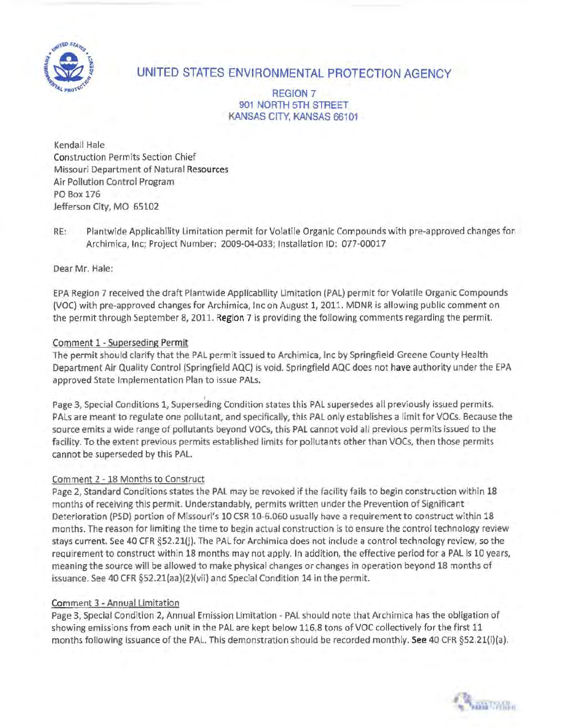

# UNITED STATES ENVIRONMENTAL PROTECTION AGENCY

REGION 7 901 NORTH 5TH STREET KANSAS CITY, KANSAS 66101

Kendall Hale Construction Permits Section Chief Missouri Department of Natural Resources Air Pollution Control Program PO Box 176 Jefferson City, MO 65102

RE: Plantwide Applicability Limitation permit for Volatile Organic Compounds with pre-approved changes for Archimica, Inc; Project Number: 2009-04-Q33; Installation 10: 077-00017

Dear Mr. Hale:

EPA Region 7 received the draft Plantwide Applicability Limitation (PAL) permit for Volatile Organic Compounds (VOC) with pre-approved changes for Archimica, Inc on August 1, 2011. MDNR is allowing public comment on the permit through September 8, 2011. Region 7 is providing the following comments regarding the permit.

## Comment 1-Superseding Permit

The permit should clarify that the PAL permit issued to Archimica, Inc by Springfield-Greene County Health Department Air Quality Control (Springfield AQC) is void. Springfield AQC does not have authority under the EPA approved State Implementation Plan to issue PALs.

Page 3, Special Conditions 1, Superseding Condition states this PAL supersedes all previously issued permits. PALs are meant to regulate one pollutant, and specifically, this PAL only establishes a limit for VOCs. Because the source emits a wide range of pollutants beyond VOCs, this PAL cannot void all previous permits issued to the facility. To the extent previous permits established limits for pollutants other than VOCs, then those permits cannot be superseded by this PAL.

#### Comment 2-18 Months to Construct

Page 2, Standard Conditions states the PAL may be revoked if the facility fails to begin construction within 18 months of receiving this permit. Understandably, permits written under the Prevention of Significant Deterioration (PSD) portion of Missouri's 10 CSR 10-6.060 usually have a requirement to construct within 18 months. The reason for limiting the time to begin actual construction is to ensure the control technology review stays current. See 40 CFR §52.21(j). The PAL for Archimica does not include a control technology review, so the requirement to construct within 18 months may not apply. In addition, the effective period for a PAL is 10 years, meaning the source will be allowed to make physical changes or changes in operation beyond 18 months of issuance. See 40 CFR §52.21(aa)(2)(vii) and Special Condition 14 in the permit.

# Comment 3 -Annual Limitation

Page 3, Special Condition 2, Annual Emission Limitation - PAL should note that Archimica has the obligation of showing emissions from each unit in the PAL are kept below 116.8 tons of VOC collectively for the first 11 months following issuance of the PAL. This demonstration should be recorded monthly. See 40 CFR §52.21(i)(a) .

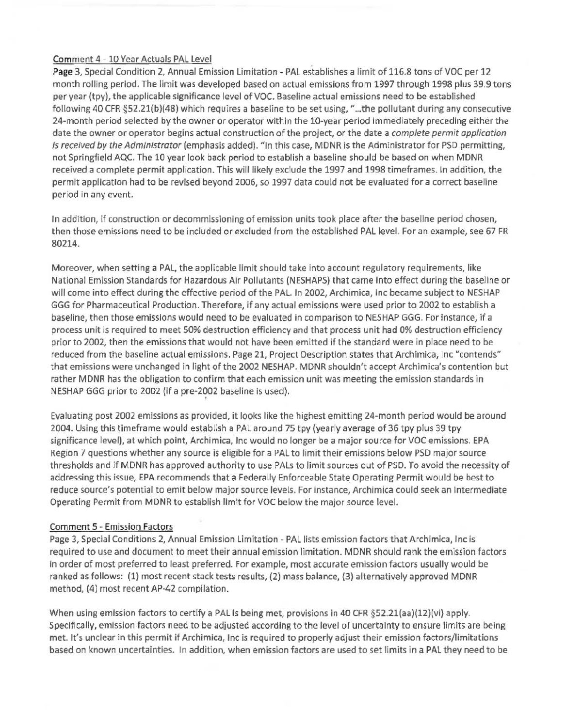## Comment 4 - 10 Year Actuals PAL Level

Page 3, Special Condition 2, Annual Emission Limitation - PAL establishes a limit of 116.8 tons of VOC per 12 month rolling period. The limit was developed based on actual emissions from 1997 through 1998 plus 39.9 tons per year (tpy), the applicable significance level of VOC. Baseline actual emissions need to be established following 40 CFR §52.21(b)(48) which requires a baseline to be set using, " ... the pollutant during any consecutive 24-month period selected by the owner or operator within the 10-year period immediately preceding either the date the owner or operator begins actual construction of the project, or the date a complete permit application is received *by* the Administrator (emphasis added). "In this case, MDNR is the Administrator for PSD permitting, not Springfield AQC. The 10 year look back period to establish a baseline should be based on when MDNR received a complete permit application. This will likely exclude the 1997 and 1998 timeframes. In addition, the permit application had to be revised beyond 2006, so 1997 data could not be evaluated for a correct baseline period in any event.

In addition, if construction or decommissioning of emission units took place after the baseline period chosen, then those emissions need to be included or excluded from the established PAL level. For an example, see 67 FR 80214.

Moreover, when setting a PAL, the applicable limit should take into account regulatory requirements, like National Emission Standards for Hazardous Air Pollutants (NESHAPS) that came into effect during the baseline or will come into effect during the effective period of the PAL. In 2002, Archimica, Inc became subject to NESHAP GGG for Pharmaceutical Production. Therefore, if any actual emissions were used prior to 2002 to establish a baseline, then those emissions would need to be evaluated in comparison to NESHAP GGG. For instance, if a process unit is required to meet SO% destruction efficiency and that process unit had 0% destruction efficiency prior to 2002, then the emissions that would not have been emitted if the standard were in place need to be reduced from the baseline actual emissions. Page 21, Project Description states that Archimica, Inc "contends" that emissions were unchanged in light of the 2002 NESHAP. MDNR shouldn't accept Archimica's contention but rather MDNR has the obligation to confirm that each emission unit was meeting the emission standards in NESHAP GGG prior to 2002 (if a pre-2002 baseline is used). '

Evaluating post 2002 emissions as provided, it looks like the highest emitting 24-month period would be around 2004. Using this timeframe would establish a PAL around 75 tpy (yearly average of 36 tpy plus 39 tpy significance level), at which point, Archimica, Inc would no longer be a major source for VOC emissions. EPA Region 7 questions whether any source is eligible for a PAL to limit their emissions below PSD major source thresholds and if MDNR has approved authority to use PALs to limit sources out of PSD. To avoid the necessity of addressing this issue, EPA recommends that a Federally Enforceable State Operating Permit would be best to reduce source's potential to emit below major source levels. For instance, Archimica could seek an Intermediate Operating Permit from MDNR to establish limit for VOC below the major source level.

# Comment 5 - Emission Factors

Page *3,* Special Conditions 2, Annual Emission Limitation- PAL lists emission factors that Archimica, Inc is required to use and document to meet their annual emission limitation. MDNR should rank the emission factors in order of most preferred to least preferred. For example, most accurate emission factors usually would be ranked as follows: (1) most recent stack tests results, (2) mass balance, (3) alternatively approved MDNR method, (4) most recent AP-42 compilation.

When using emission factors to certify a PAL is being met, provisions in 40 CFR §52.21(aa)(12)(vi) apply. Specifically, emission factors need to be adjusted according to the level of uncertainty to ensure limits are being met. It's unclear in this permit if Archimica, Inc is required to properly adjust their emission factors/limitations based on known uncertainties. In addition, when emission factors are used to set limits in a PAL they need to be